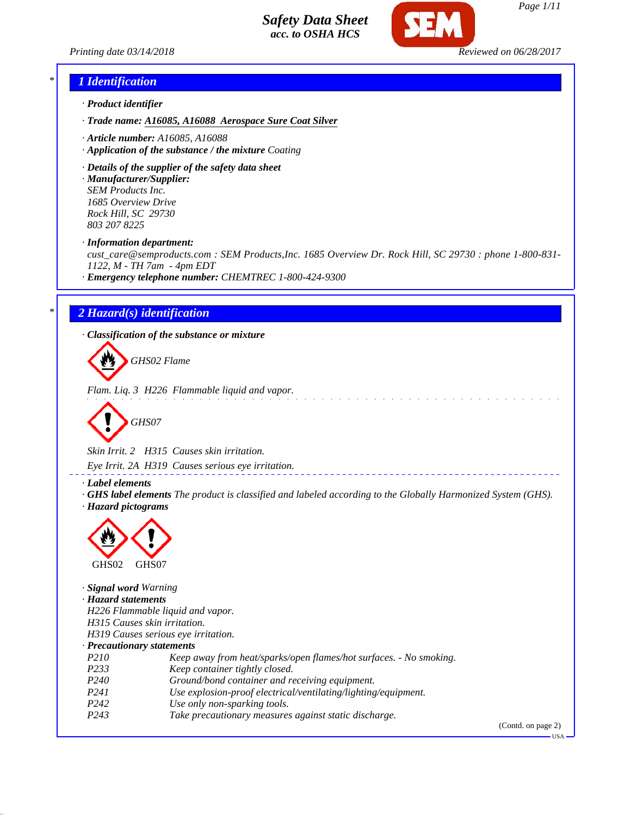

### *\* 1 Identification*

- *· Product identifier*
- *· Trade name: A16085, A16088 Aerospace Sure Coat Silver*
- *· Article number: A16085, A16088*
- *· Application of the substance / the mixture Coating*
- *· Details of the supplier of the safety data sheet*
- *· Manufacturer/Supplier: SEM Products Inc. 1685 Overview Drive Rock Hill, SC 29730 803 207 8225*
- *· Information department:*

*cust\_care@semproducts.com : SEM Products,Inc. 1685 Overview Dr. Rock Hill, SC 29730 : phone 1-800-831- 1122, M - TH 7am - 4pm EDT*

*· Emergency telephone number: CHEMTREC 1-800-424-9300*

### *\* 2 Hazard(s) identification*

*· Classification of the substance or mixture*

*GHS02 Flame*

*Flam. Liq. 3 H226 Flammable liquid and vapor.*

$$
\bigotimes \text{GHSO7}
$$

*Skin Irrit. 2 H315 Causes skin irritation.*

*Eye Irrit. 2A H319 Causes serious eye irritation.*

*· Label elements*

*· GHS label elements The product is classified and labeled according to the Globally Harmonized System (GHS). · Hazard pictograms*



| Signal word Warning              |                                                                    |                    |
|----------------------------------|--------------------------------------------------------------------|--------------------|
| · Hazard statements              |                                                                    |                    |
|                                  | H226 Flammable liquid and vapor.                                   |                    |
|                                  | H315 Causes skin irritation.                                       |                    |
|                                  | H319 Causes serious eye irritation.                                |                    |
| $\cdot$ Precautionary statements |                                                                    |                    |
| P <sub>210</sub>                 | Keep away from heat/sparks/open flames/hot surfaces. - No smoking. |                    |
| P <sub>233</sub>                 | Keep container tightly closed.                                     |                    |
| P <sub>240</sub>                 | Ground/bond container and receiving equipment.                     |                    |
| P <sub>24</sub> 1                | Use explosion-proof electrical/ventilating/lighting/equipment.     |                    |
| P <sub>242</sub>                 | Use only non-sparking tools.                                       |                    |
| P <sub>243</sub>                 | Take precautionary measures against static discharge.              |                    |
|                                  |                                                                    | (Contd. on page 2) |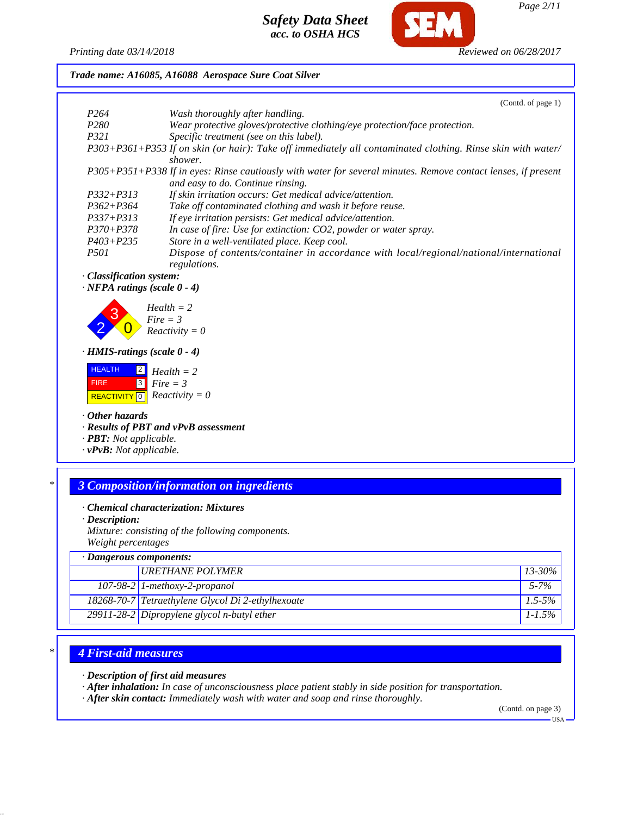

*Printing date 03/14/2018 Reviewed on 06/28/2017*

*Trade name: A16085, A16088 Aerospace Sure Coat Silver*

|   |                                                                                                                                                                                     |                                                                                                                                                      | (Contd. of page 1) |
|---|-------------------------------------------------------------------------------------------------------------------------------------------------------------------------------------|------------------------------------------------------------------------------------------------------------------------------------------------------|--------------------|
|   | P <sub>264</sub>                                                                                                                                                                    | Wash thoroughly after handling.                                                                                                                      |                    |
|   | P <sub>280</sub>                                                                                                                                                                    | Wear protective gloves/protective clothing/eye protection/face protection.                                                                           |                    |
|   | P321                                                                                                                                                                                | Specific treatment (see on this label).                                                                                                              |                    |
|   |                                                                                                                                                                                     | P303+P361+P353 If on skin (or hair): Take off immediately all contaminated clothing. Rinse skin with water/<br>shower.                               |                    |
|   |                                                                                                                                                                                     | P305+P351+P338 If in eyes: Rinse cautiously with water for several minutes. Remove contact lenses, if present<br>and easy to do. Continue rinsing.   |                    |
|   | $P332 + P313$                                                                                                                                                                       | If skin irritation occurs: Get medical advice/attention.                                                                                             |                    |
|   | $P362 + P364$                                                                                                                                                                       | Take off contaminated clothing and wash it before reuse.                                                                                             |                    |
|   | $P337 + P313$                                                                                                                                                                       | If eye irritation persists: Get medical advice/attention.                                                                                            |                    |
|   | $P370 + P378$                                                                                                                                                                       | In case of fire: Use for extinction: CO2, powder or water spray.                                                                                     |                    |
|   | $P403 + P235$                                                                                                                                                                       | Store in a well-ventilated place. Keep cool.                                                                                                         |                    |
|   | <i>P501</i>                                                                                                                                                                         | Dispose of contents/container in accordance with local/regional/national/international<br>regulations.                                               |                    |
|   | · Classification system:                                                                                                                                                            |                                                                                                                                                      |                    |
|   | $\cdot$ NFPA ratings (scale $0 - 4$ )                                                                                                                                               |                                                                                                                                                      |                    |
|   | $\cdot$ HMIS-ratings (scale 0 - 4)<br><b>HEALTH</b><br> 2 <br>$\sqrt{3}$<br><b>FIRE</b><br>$\cdot$ Other hazards<br>· <b>PBT</b> : Not applicable.<br>$\cdot$ vPvB: Not applicable. | $Fire = 3$<br>$Reactivity = 0$<br>$Health = 2$<br>$Fire = 3$<br>REACTIVITY $\boxed{0}$ <i>Reactivity</i> = 0<br>· Results of PBT and vPvB assessment |                    |
| * |                                                                                                                                                                                     | <b>3 Composition/information on ingredients</b>                                                                                                      |                    |
|   | $\cdot$ Description:                                                                                                                                                                | · Chemical characterization: Mixtures                                                                                                                |                    |
|   |                                                                                                                                                                                     | Mixture: consisting of the following components.                                                                                                     |                    |
|   | Weight percentages                                                                                                                                                                  |                                                                                                                                                      |                    |
|   | Dangerous components:                                                                                                                                                               |                                                                                                                                                      |                    |
|   |                                                                                                                                                                                     | <b>URETHANE POLYMER</b>                                                                                                                              | 13-30%             |
|   |                                                                                                                                                                                     | 107-98-2 1-methoxy-2-propanol                                                                                                                        | $5 - 7%$           |

# *\* 4 First-aid measures*

*· Description of first aid measures*

*· After inhalation: In case of unconsciousness place patient stably in side position for transportation.*

*18268-70-7 Tetraethylene Glycol Di 2-ethylhexoate 1.5-5% 29911-28-2 Dipropylene glycol n-butyl ether 1-1.5%*

*· After skin contact: Immediately wash with water and soap and rinse thoroughly.*

(Contd. on page 3)

 $-<sub>USA</sub>$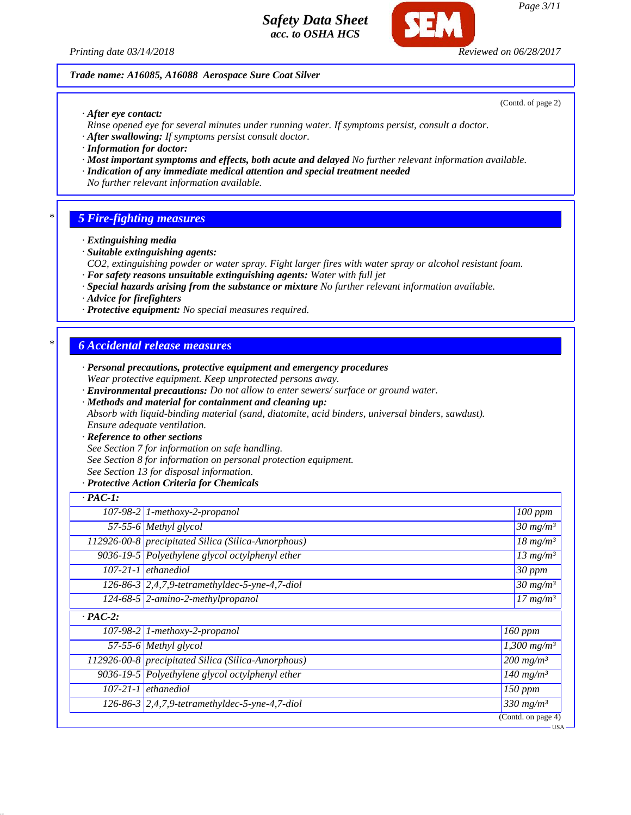*Printing date 03/14/2018 Reviewed on 06/28/2017*

#### *Trade name: A16085, A16088 Aerospace Sure Coat Silver*

*· After eye contact:*

- *Rinse opened eye for several minutes under running water. If symptoms persist, consult a doctor.*
- *· After swallowing: If symptoms persist consult doctor.*
- *· Information for doctor:*
- *· Most important symptoms and effects, both acute and delayed No further relevant information available.*
- *· Indication of any immediate medical attention and special treatment needed*
- *No further relevant information available.*

### *\* 5 Fire-fighting measures*

- *· Extinguishing media*
- *· Suitable extinguishing agents:*
- *CO2, extinguishing powder or water spray. Fight larger fires with water spray or alcohol resistant foam.*
- *· For safety reasons unsuitable extinguishing agents: Water with full jet*
- *· Special hazards arising from the substance or mixture No further relevant information available.*
- *· Advice for firefighters*
- *· Protective equipment: No special measures required.*

### *\* 6 Accidental release measures*

- *· Personal precautions, protective equipment and emergency procedures Wear protective equipment. Keep unprotected persons away.*
- *· Environmental precautions: Do not allow to enter sewers/ surface or ground water.*
- *· Methods and material for containment and cleaning up:*

*Absorb with liquid-binding material (sand, diatomite, acid binders, universal binders, sawdust). Ensure adequate ventilation.*

#### *· Reference to other sections*

*See Section 7 for information on safe handling.*

*See Section 8 for information on personal protection equipment.*

*See Section 13 for disposal information.*

### *· Protective Action Criteria for Chemicals*

|                | $107-98-2$ 1-methoxy-2-propanol                    | 100 ppm                           |
|----------------|----------------------------------------------------|-----------------------------------|
|                | 57-55-6 Methyl glycol                              | $\sqrt{30}$ mg/m <sup>3</sup>     |
|                | 112926-00-8 precipitated Silica (Silica-Amorphous) | $\frac{18 \text{ m} g}{m^3}$      |
|                | 9036-19-5 Polyethylene glycol octylphenyl ether    | $13$ mg/m <sup>3</sup>            |
|                | $107-21-1$ ethanediol                              | $30$ ppm                          |
|                | 126-86-3 2,4,7,9-tetramethyldec-5-yne-4,7-diol     | $30 \frac{mg}{m^3}$               |
|                | $124-68-5$ 2-amino-2-methylpropanol                | $\overline{17}$ mg/m <sup>3</sup> |
| $\cdot$ PAC-2: |                                                    |                                   |
|                | $107-98-2$ 1-methoxy-2-propanol                    | 160 ppm                           |
|                | 57-55-6 Methyl glycol                              | $1,300$ mg/m <sup>3</sup>         |
|                | 112926-00-8 precipitated Silica (Silica-Amorphous) | $200$ mg/m <sup>3</sup>           |
|                | 9036-19-5 Polyethylene glycol octylphenyl ether    | $140$ mg/m <sup>3</sup>           |
|                | $107-21-1$ ethanediol                              | $\overline{150}$ ppm              |
|                | 126-86-3 2,4,7,9-tetramethyldec-5-yne-4,7-diol     | $330$ mg/m <sup>3</sup>           |
|                |                                                    | (Contd. on page 4)                |

*Page 3/11*

(Contd. of page 2)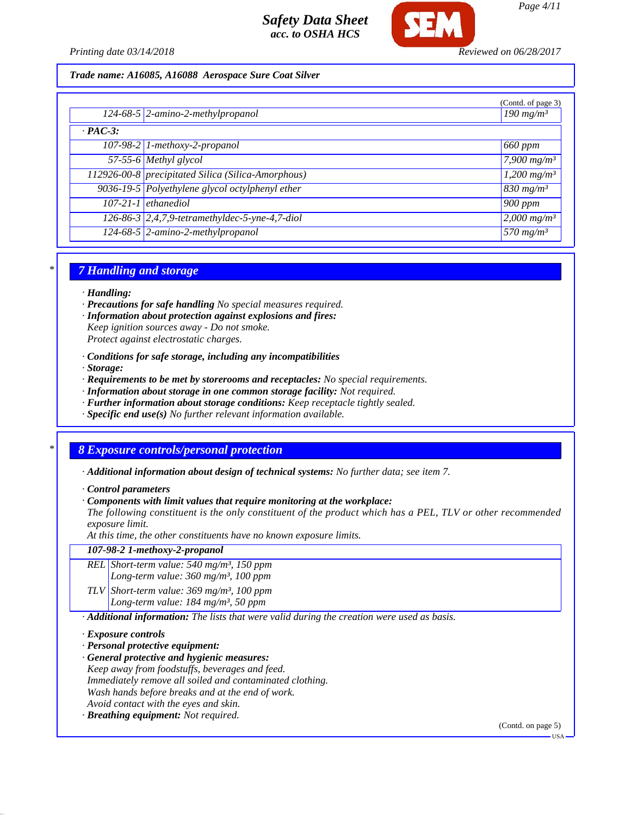

*Page 4/11*

#### *Trade name: A16085, A16088 Aerospace Sure Coat Silver*

|                |                                                    | (Contd. of page 3)        |
|----------------|----------------------------------------------------|---------------------------|
|                | $124-68-5$ 2-amino-2-methylpropanol                | $190$ mg/m <sup>3</sup>   |
| $\cdot$ PAC-3: |                                                    |                           |
|                | 107-98-2 1-methoxy-2-propanol                      | <sub>1</sub> 660 ppm      |
|                | $57-55-6$ Methyl glycol                            | 7,900 $mg/m^3$            |
|                | 112926-00-8 precipitated Silica (Silica-Amorphous) | $1,200$ mg/m <sup>3</sup> |
|                | 9036-19-5 Polyethylene glycol octylphenyl ether    | $830$ mg/m <sup>3</sup>   |
|                | $107-21-1$ ethanediol                              | 900 ppm                   |
|                | 126-86-3 2,4,7,9-tetramethyldec-5-yne-4,7-diol     | 2,000 $mg/m^3$            |
|                | 124-68-5 2-amino-2-methylpropanol                  | $570 \ m\text{g/m}^3$     |

### *\* 7 Handling and storage*

#### *· Handling:*

- *· Precautions for safe handling No special measures required.*
- *· Information about protection against explosions and fires:*
- *Keep ignition sources away Do not smoke. Protect against electrostatic charges.*
- *· Conditions for safe storage, including any incompatibilities*
- *· Storage:*
- *· Requirements to be met by storerooms and receptacles: No special requirements.*
- *· Information about storage in one common storage facility: Not required.*
- *· Further information about storage conditions: Keep receptacle tightly sealed.*
- *· Specific end use(s) No further relevant information available.*

## *\* 8 Exposure controls/personal protection*

- *· Additional information about design of technical systems: No further data; see item 7.*
- *· Control parameters*
- *· Components with limit values that require monitoring at the workplace:*

*The following constituent is the only constituent of the product which has a PEL, TLV or other recommended exposure limit.*

*At this time, the other constituents have no known exposure limits.*

*107-98-2 1-methoxy-2-propanol*

*REL Short-term value: 540 mg/m³, 150 ppm Long-term value: 360 mg/m³, 100 ppm*

*TLV Short-term value: 369 mg/m³, 100 ppm Long-term value: 184 mg/m³, 50 ppm*

*· Additional information: The lists that were valid during the creation were used as basis.*

#### *· Exposure controls*

- *· Personal protective equipment:*
- *· General protective and hygienic measures:*
- *Keep away from foodstuffs, beverages and feed. Immediately remove all soiled and contaminated clothing.*
- *Wash hands before breaks and at the end of work.*
- *Avoid contact with the eyes and skin.*
- *· Breathing equipment: Not required.*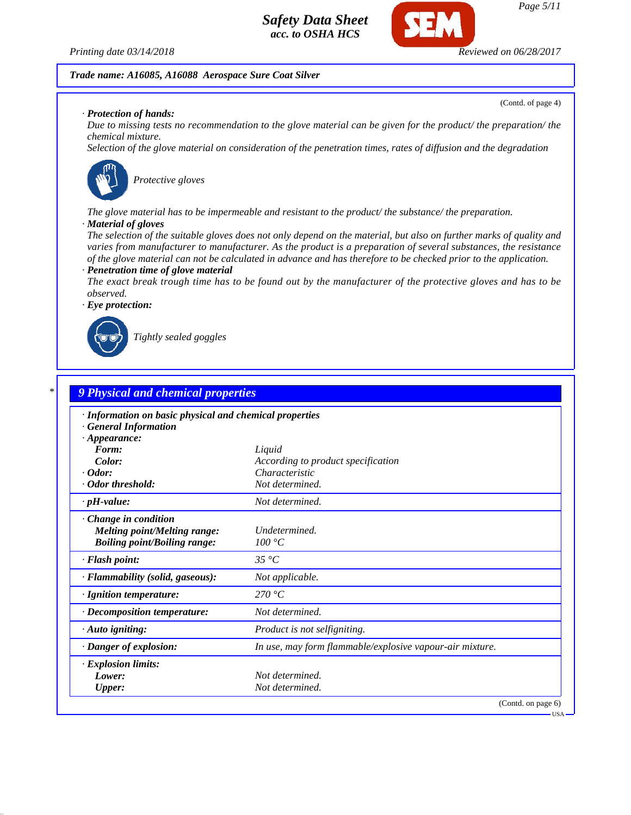

(Contd. of page 4)

#### *Trade name: A16085, A16088 Aerospace Sure Coat Silver*

#### *· Protection of hands:*

*Due to missing tests no recommendation to the glove material can be given for the product/ the preparation/ the chemical mixture.*

*Selection of the glove material on consideration of the penetration times, rates of diffusion and the degradation*



*Protective gloves*

*The glove material has to be impermeable and resistant to the product/ the substance/ the preparation.*

#### *· Material of gloves*

*The selection of the suitable gloves does not only depend on the material, but also on further marks of quality and varies from manufacturer to manufacturer. As the product is a preparation of several substances, the resistance of the glove material can not be calculated in advance and has therefore to be checked prior to the application. · Penetration time of glove material*

*The exact break trough time has to be found out by the manufacturer of the protective gloves and has to be observed.*

*· Eye protection:*



*Tightly sealed goggles*

# *\* 9 Physical and chemical properties · Information on basic physical and chemical properties · General Information · Appearance: Form: Liquid Color: According to product specification · Odor: Characteristic · Odor threshold: Not determined. · pH-value: Not determined. · Change in condition Melting point/Melting range: Undetermined. Boiling point/Boiling range: 100 °C · Flash point: 35 °C · Flammability (solid, gaseous): Not applicable. · Ignition temperature: 270 °C · Decomposition temperature: Not determined. · Auto igniting: Product is not selfigniting. · Danger of explosion: In use, may form flammable/explosive vapour-air mixture. · Explosion limits: Lower: Not determined. Upper: Not determined.* (Contd. on page 6)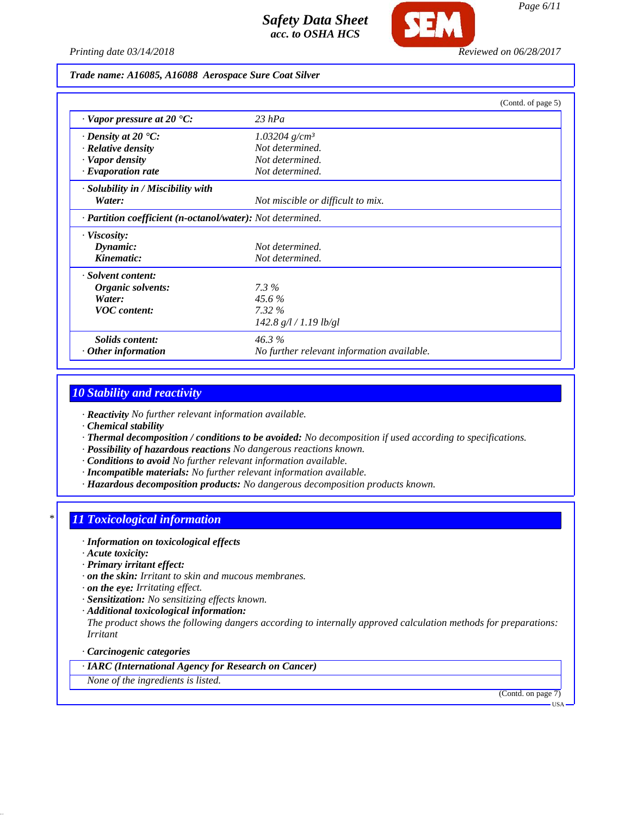

*Printing date 03/14/2018 Reviewed on 06/28/2017*

### *Trade name: A16085, A16088 Aerospace Sure Coat Silver*

|                                                            | (Contd. of page 5)                         |  |
|------------------------------------------------------------|--------------------------------------------|--|
| $\cdot$ Vapor pressure at 20 $\cdot$ C:                    | $23$ hPa                                   |  |
| $\cdot$ Density at 20 $\cdot$ C:                           | $1.03204$ g/cm <sup>3</sup>                |  |
| · Relative density                                         | Not determined.                            |  |
| · Vapor density                                            | Not determined.                            |  |
| $\cdot$ Evaporation rate                                   | Not determined.                            |  |
| · Solubility in / Miscibility with                         |                                            |  |
| Water:                                                     | Not miscible or difficult to mix.          |  |
| · Partition coefficient (n-octanol/water): Not determined. |                                            |  |
| $\cdot$ Viscosity:                                         |                                            |  |
| Dynamic:                                                   | Not determined.                            |  |
| Kinematic:                                                 | Not determined.                            |  |
| · Solvent content:                                         |                                            |  |
| Organic solvents:                                          | $7.3\%$                                    |  |
| Water:                                                     | $45.6\%$                                   |  |
| <b>VOC</b> content:                                        | $7.32\%$                                   |  |
|                                                            | 142.8 g/l / 1.19 lb/gl                     |  |
| Solids content:                                            | 46.3%                                      |  |
| $\cdot$ Other information                                  | No further relevant information available. |  |

## *10 Stability and reactivity*

*· Reactivity No further relevant information available.*

*· Chemical stability*

- *· Thermal decomposition / conditions to be avoided: No decomposition if used according to specifications.*
- *· Possibility of hazardous reactions No dangerous reactions known.*
- *· Conditions to avoid No further relevant information available.*
- *· Incompatible materials: No further relevant information available.*
- *· Hazardous decomposition products: No dangerous decomposition products known.*

## *\* 11 Toxicological information*

- *· Information on toxicological effects*
- *· Acute toxicity:*
- *· Primary irritant effect:*
- *· on the skin: Irritant to skin and mucous membranes.*
- *· on the eye: Irritating effect.*
- *· Sensitization: No sensitizing effects known.*
- *· Additional toxicological information:*

*The product shows the following dangers according to internally approved calculation methods for preparations: Irritant*

#### *· Carcinogenic categories*

*· IARC (International Agency for Research on Cancer)*

*None of the ingredients is listed.*

(Contd. on page 7)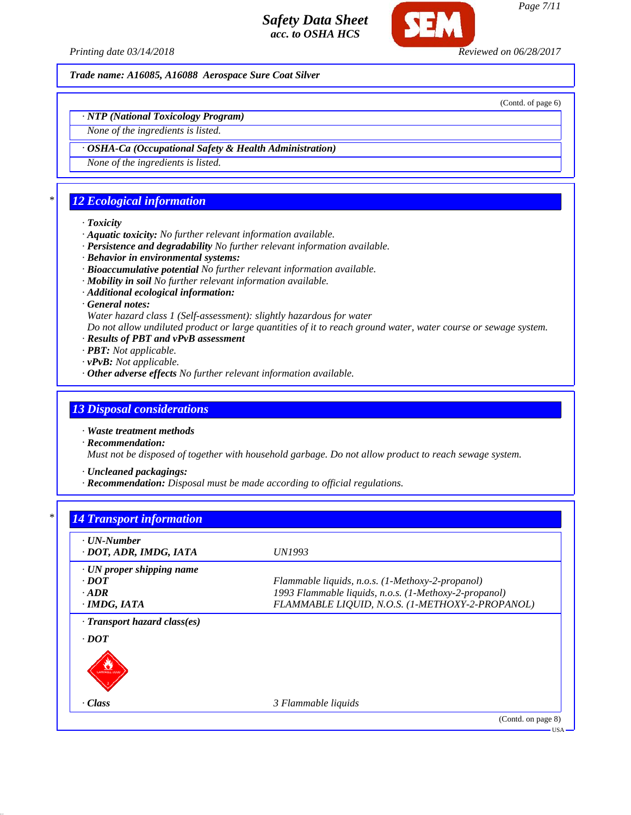

*Printing date 03/14/2018 Reviewed on 06/28/2017*

*Trade name: A16085, A16088 Aerospace Sure Coat Silver*

(Contd. of page 6)

*· NTP (National Toxicology Program)*

*None of the ingredients is listed.*

*· OSHA-Ca (Occupational Safety & Health Administration)*

*None of the ingredients is listed.*

## *\* 12 Ecological information*

#### *· Toxicity*

- *· Aquatic toxicity: No further relevant information available.*
- *· Persistence and degradability No further relevant information available.*
- *· Behavior in environmental systems:*
- *· Bioaccumulative potential No further relevant information available.*
- *· Mobility in soil No further relevant information available.*
- *· Additional ecological information:*
- *· General notes:*

*Water hazard class 1 (Self-assessment): slightly hazardous for water*

*Do not allow undiluted product or large quantities of it to reach ground water, water course or sewage system.*

- *· Results of PBT and vPvB assessment*
- *· PBT: Not applicable.*
- *· vPvB: Not applicable.*
- *· Other adverse effects No further relevant information available.*

## *13 Disposal considerations*

*· Waste treatment methods*

*· Recommendation:*

*Must not be disposed of together with household garbage. Do not allow product to reach sewage system.*

*· Uncleaned packagings:*

*· Recommendation: Disposal must be made according to official regulations.*

| $\cdot$ UN-Number               |                                                       |
|---------------------------------|-------------------------------------------------------|
| · DOT, ADR, IMDG, IATA          | UN1993                                                |
| $\cdot$ UN proper shipping name |                                                       |
| $\cdot$ <i>DOT</i>              | Flammable liquids, n.o.s. (1-Methoxy-2-propanol)      |
| $-ADR$                          | 1993 Flammable liquids, n.o.s. (1-Methoxy-2-propanol) |
| · IMDG, IATA                    | FLAMMABLE LIQUID, N.O.S. (1-METHOXY-2-PROPANOL)       |
| · Transport hazard class(es)    |                                                       |
| $\cdot$ DOT                     |                                                       |
|                                 |                                                       |
|                                 |                                                       |
|                                 |                                                       |
| · Class                         | 3 Flammable liquids                                   |

*Page 7/11*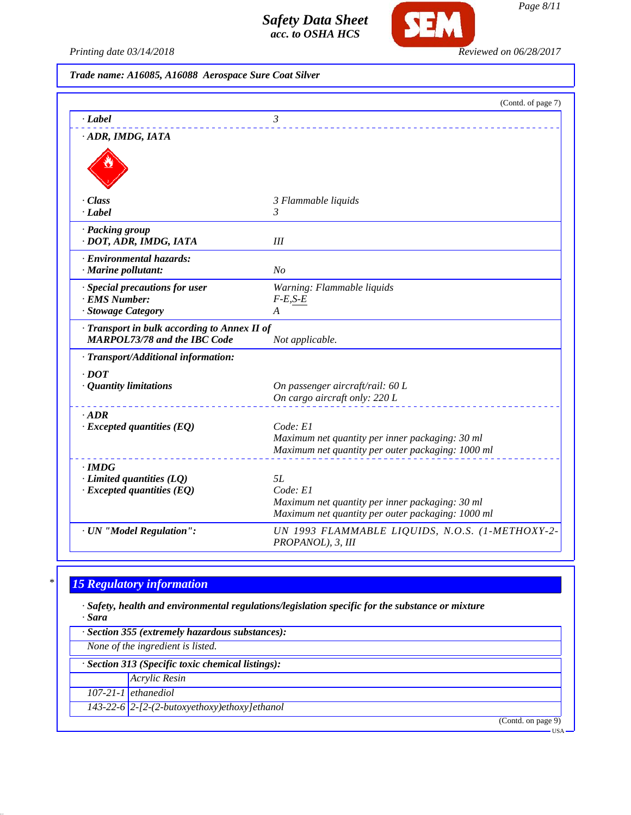

*Printing date 03/14/2018 Reviewed on 06/28/2017*

*Trade name: A16085, A16088 Aerospace Sure Coat Silver*

|                                                                                     | (Contd. of page 7)                                                                                                     |
|-------------------------------------------------------------------------------------|------------------------------------------------------------------------------------------------------------------------|
| $\cdot$ Label                                                                       | 3                                                                                                                      |
| · ADR, IMDG, IATA                                                                   |                                                                                                                        |
| · Class<br>· Label                                                                  | 3 Flammable liquids<br>3                                                                                               |
| · Packing group<br>· DOT, ADR, IMDG, IATA                                           | Ш                                                                                                                      |
| · Environmental hazards:<br>· Marine pollutant:                                     | N <sub>O</sub>                                                                                                         |
| · Special precautions for user<br>· EMS Number:<br>· Stowage Category               | Warning: Flammable liquids<br>$F-E,S-E$<br>A                                                                           |
| · Transport in bulk according to Annex II of<br><b>MARPOL73/78 and the IBC Code</b> | Not applicable.                                                                                                        |
| · Transport/Additional information:<br>$\cdot$ DOT<br>· Quantity limitations        | On passenger aircraft/rail: 60 L<br>On cargo aircraft only: 220 L                                                      |
| $\cdot$ ADR<br>$\cdot$ Excepted quantities (EQ)                                     | Code: E1<br>Maximum net quantity per inner packaging: 30 ml<br>Maximum net quantity per outer packaging: 1000 ml       |
| $\cdot$ IMDG<br>$\cdot$ Limited quantities (LQ)<br>$\cdot$ Excepted quantities (EQ) | 5L<br>Code: El<br>Maximum net quantity per inner packaging: 30 ml<br>Maximum net quantity per outer packaging: 1000 ml |
| · UN "Model Regulation":                                                            | UN 1993 FLAMMABLE LIQUIDS, N.O.S. (1-METHOXY-2-<br>PROPANOL), 3, III                                                   |

# *\* 15 Regulatory information*

*· Safety, health and environmental regulations/legislation specific for the substance or mixture · Sara*

| · Section 355 (extremely hazardous substances):   |                                                |  |
|---------------------------------------------------|------------------------------------------------|--|
| None of the ingredient is listed.                 |                                                |  |
| · Section 313 (Specific toxic chemical listings): |                                                |  |
|                                                   | <b>Acrylic Resin</b>                           |  |
|                                                   | $107-21-1$ ethanediol                          |  |
|                                                   | 143-22-6 $2-[2-(2-butoxyethoxy)ethoxy]ethanol$ |  |
|                                                   | (Contd. on page 9)                             |  |
|                                                   | <b>USA</b>                                     |  |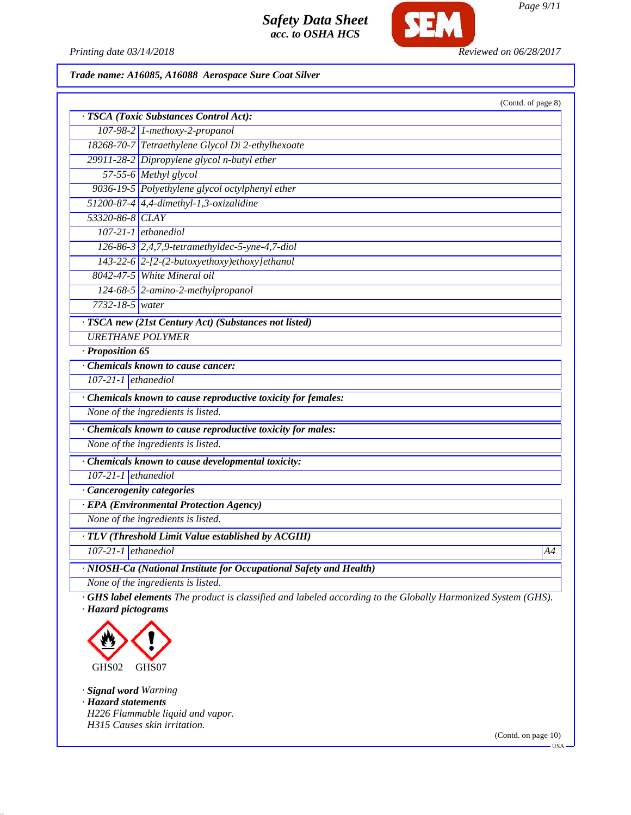

*Printing date 03/14/2018 Reviewed on 06/28/2017*

*Trade name: A16085, A16088 Aerospace Sure Coat Silver*

| · TSCA (Toxic Substances Control Act):<br>$107-98-2$ 1-methoxy-2-propanol<br>18268-70-7 Tetraethylene Glycol Di 2-ethylhexoate<br>29911-28-2 Dipropylene glycol n-butyl ether<br>57-55-6 Methyl glycol<br>9036-19-5 Polyethylene glycol octylphenyl ether |    |
|-----------------------------------------------------------------------------------------------------------------------------------------------------------------------------------------------------------------------------------------------------------|----|
|                                                                                                                                                                                                                                                           |    |
|                                                                                                                                                                                                                                                           |    |
|                                                                                                                                                                                                                                                           |    |
|                                                                                                                                                                                                                                                           |    |
|                                                                                                                                                                                                                                                           |    |
|                                                                                                                                                                                                                                                           |    |
| 51200-87-4 $\vert$ 4,4-dimethyl-1,3-oxizalidine                                                                                                                                                                                                           |    |
| 53320-86-8 CLAY                                                                                                                                                                                                                                           |    |
| $107-21-1$ ethanediol                                                                                                                                                                                                                                     |    |
| 126-86-3 2,4,7,9-tetramethyldec-5-yne-4,7-diol                                                                                                                                                                                                            |    |
| $143-22-6$ 2-[2-(2-butoxyethoxy)ethoxy]ethanol                                                                                                                                                                                                            |    |
| 8042-47-5 White Mineral oil                                                                                                                                                                                                                               |    |
| 124-68-5 2-amino-2-methylpropanol                                                                                                                                                                                                                         |    |
| $7732 - 18 - 5$ water                                                                                                                                                                                                                                     |    |
| · TSCA new (21st Century Act) (Substances not listed)                                                                                                                                                                                                     |    |
| <b>URETHANE POLYMER</b>                                                                                                                                                                                                                                   |    |
| · Proposition 65                                                                                                                                                                                                                                          |    |
| Chemicals known to cause cancer:                                                                                                                                                                                                                          |    |
| $107-21-1$ ethanediol                                                                                                                                                                                                                                     |    |
| · Chemicals known to cause reproductive toxicity for females:                                                                                                                                                                                             |    |
| None of the ingredients is listed.                                                                                                                                                                                                                        |    |
| · Chemicals known to cause reproductive toxicity for males:                                                                                                                                                                                               |    |
| None of the ingredients is listed.                                                                                                                                                                                                                        |    |
| · Chemicals known to cause developmental toxicity:                                                                                                                                                                                                        |    |
| $107-21-1$ ethanediol                                                                                                                                                                                                                                     |    |
| · Cancerogenity categories                                                                                                                                                                                                                                |    |
| <b>EPA</b> (Environmental Protection Agency)                                                                                                                                                                                                              |    |
| None of the ingredients is listed.                                                                                                                                                                                                                        |    |
| · TLV (Threshold Limit Value established by ACGIH)                                                                                                                                                                                                        |    |
| $107-21-1$ ethanediol                                                                                                                                                                                                                                     | A4 |
| · NIOSH-Ca (National Institute for Occupational Safety and Health)                                                                                                                                                                                        |    |
| None of the ingredients is listed.                                                                                                                                                                                                                        |    |

*· Hazard pictograms*



*· Signal word Warning · Hazard statements H226 Flammable liquid and vapor. H315 Causes skin irritation.*

(Contd. on page 10)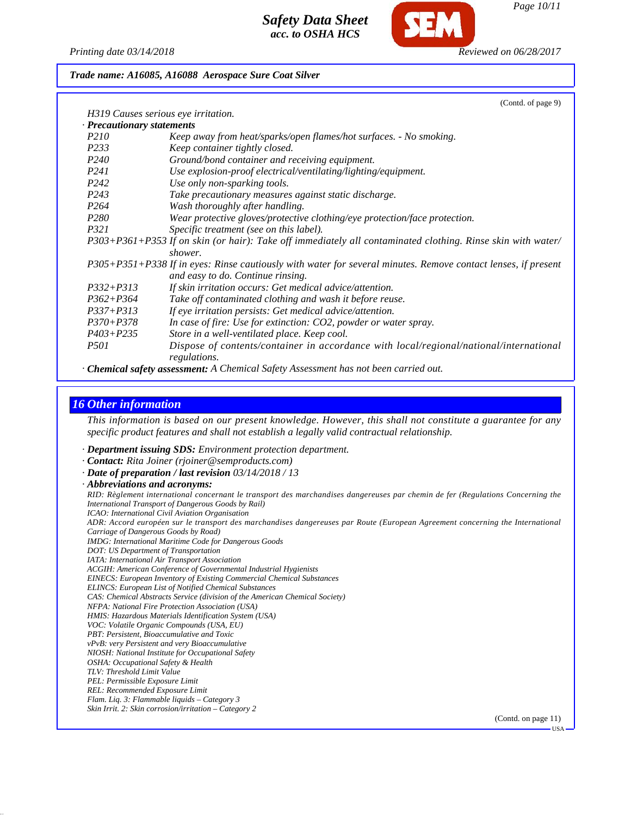

#### *Trade name: A16085, A16088 Aerospace Sure Coat Silver*

|                                     | (Contd. of page 9)                                                                                            |
|-------------------------------------|---------------------------------------------------------------------------------------------------------------|
| H319 Causes serious eye irritation. |                                                                                                               |
| Precautionary statements            |                                                                                                               |
| <i>P210</i>                         | Keep away from heat/sparks/open flames/hot surfaces. - No smoking.                                            |
| P233                                | Keep container tightly closed.                                                                                |
| P <sub>240</sub>                    | Ground/bond container and receiving equipment.                                                                |
| <i>P241</i>                         | Use explosion-proof electrical/ventilating/lighting/equipment.                                                |
| P <sub>242</sub>                    | Use only non-sparking tools.                                                                                  |
| P <sub>243</sub>                    | Take precautionary measures against static discharge.                                                         |
| P <sub>264</sub>                    | Wash thoroughly after handling.                                                                               |
| P <sub>280</sub>                    | Wear protective gloves/protective clothing/eye protection/face protection.                                    |
| <i>P321</i>                         | Specific treatment (see on this label).                                                                       |
|                                     | P303+P361+P353 If on skin (or hair): Take off immediately all contaminated clothing. Rinse skin with water/   |
|                                     | shower.                                                                                                       |
|                                     | P305+P351+P338 If in eyes: Rinse cautiously with water for several minutes. Remove contact lenses, if present |
|                                     | and easy to do. Continue rinsing.                                                                             |
| $P332 + P313$                       | If skin irritation occurs: Get medical advice/attention.                                                      |
| $P362 + P364$                       | Take off contaminated clothing and wash it before reuse.                                                      |
| $P337 + P313$                       | If eye irritation persists: Get medical advice/attention.                                                     |
| $P370 + P378$                       | In case of fire: Use for extinction: CO2, powder or water spray.                                              |
| $P403 + P235$                       | Store in a well-ventilated place. Keep cool.                                                                  |
| <i>P501</i>                         | Dispose of contents/container in accordance with local/regional/national/international                        |
|                                     | regulations.                                                                                                  |
|                                     | <b>Chemical safety assessment:</b> A Chemical Safety Assessment has not been carried out.                     |

## *16 Other information*

*This information is based on our present knowledge. However, this shall not constitute a guarantee for any specific product features and shall not establish a legally valid contractual relationship.*

*· Department issuing SDS: Environment protection department.*

*· Contact: Rita Joiner (rjoiner@semproducts.com)*

*· Date of preparation / last revision 03/14/2018 / 13*

*· Abbreviations and acronyms:*

*RID: Règlement international concernant le transport des marchandises dangereuses par chemin de fer (Regulations Concerning the International Transport of Dangerous Goods by Rail)*

*ICAO: International Civil Aviation Organisation*

*ADR: Accord européen sur le transport des marchandises dangereuses par Route (European Agreement concerning the International Carriage of Dangerous Goods by Road)*

*IMDG: International Maritime Code for Dangerous Goods*

*DOT: US Department of Transportation*

*IATA: International Air Transport Association*

*ACGIH: American Conference of Governmental Industrial Hygienists*

*EINECS: European Inventory of Existing Commercial Chemical Substances ELINCS: European List of Notified Chemical Substances*

*CAS: Chemical Abstracts Service (division of the American Chemical Society)*

*NFPA: National Fire Protection Association (USA)*

*HMIS: Hazardous Materials Identification System (USA)*

*VOC: Volatile Organic Compounds (USA, EU)*

*PBT: Persistent, Bioaccumulative and Toxic*

*vPvB: very Persistent and very Bioaccumulative*

*NIOSH: National Institute for Occupational Safety*

*OSHA: Occupational Safety & Health*

*TLV: Threshold Limit Value*

*PEL: Permissible Exposure Limit REL: Recommended Exposure Limit*

*Flam. Liq. 3: Flammable liquids – Category 3*

*Skin Irrit. 2: Skin corrosion/irritation – Category 2*

(Contd. on page 11)

USA